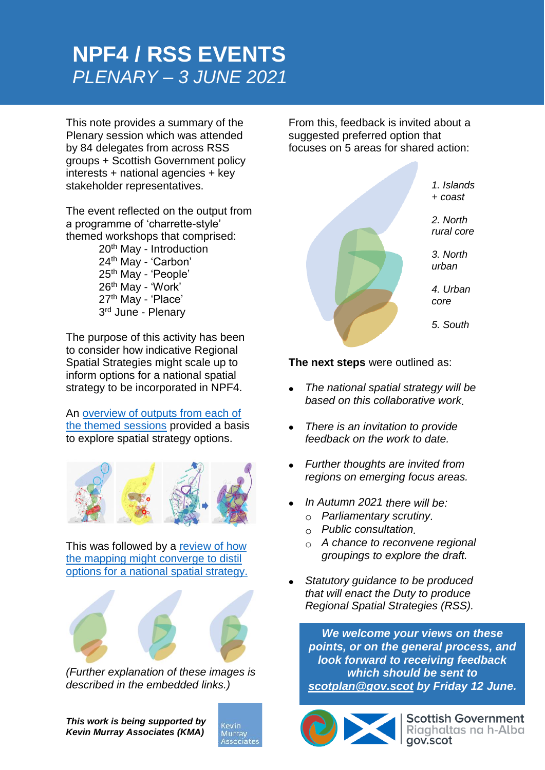# **NPF4 / RSS EVENTS** *PLENARY – 3 JUNE 2021*

This note provides a summary of the Plenary session which was attended by 84 delegates from across RSS groups + Scottish Government policy interests + national agencies + key stakeholder representatives.

The event reflected on the output from a programme of 'charrette-style' themed workshops that comprised:

> th May - Introduction th May - 'Carbon' th May - 'People' th May - 'Work' 27<sup>th</sup> May - 'Place' 3<sup>rd</sup> June - Plenary

The purpose of this activity has been to consider how indicative Regional Spatial Strategies might scale up to inform options for a national spatial strategy to be incorporated in NPF4.

An [overview of outputs from each of](https://kmaglasgow-my.sharepoint.com/:v:/g/personal/rim_kevinmurrayassociates_com/EZSySWwJdC1DrSCG9TxW0n8Bfmh3Uak_p0cf69xh_Roytg?e=nwEljf)  [the themed sessions](https://kmaglasgow-my.sharepoint.com/:v:/g/personal/rim_kevinmurrayassociates_com/EZSySWwJdC1DrSCG9TxW0n8Bfmh3Uak_p0cf69xh_Roytg?e=nwEljf) provided a basis to explore spatial strategy options.



This was followed by a [review of how](https://kmaglasgow-my.sharepoint.com/:v:/g/personal/rim_kevinmurrayassociates_com/EYTkiIfvnXNLrNns605r7gUBHHTGYgfoJOsXJARwZSBoFg?e=iHQVGn)  [the mapping might converge to distil](https://kmaglasgow-my.sharepoint.com/:v:/g/personal/rim_kevinmurrayassociates_com/EYTkiIfvnXNLrNns605r7gUBHHTGYgfoJOsXJARwZSBoFg?e=iHQVGn)  [options for a national spatial strategy.](https://kmaglasgow-my.sharepoint.com/:v:/g/personal/rim_kevinmurrayassociates_com/EYTkiIfvnXNLrNns605r7gUBHHTGYgfoJOsXJARwZSBoFg?e=iHQVGn)



*(Further explanation of these images is described in the embedded links.)*

*This work is being supported by Kevin Murray Associates (KMA)*



From this, feedback is invited about a suggested preferred option that focuses on 5 areas for shared action:



**The next steps** were outlined as:

- *The national spatial strategy will be based on this collaborative work.*
- *There is an invitation to provide feedback on the work to date.*
- *Further thoughts are invited from regions on emerging focus areas.*
- *In Autumn 2021 there will be:*
	- o *Parliamentary scrutiny.*
	- o *Public consultation.*
	- o *A chance to reconvene regional groupings to explore the draft.*
- *Statutory guidance to be produced that will enact the Duty to produce Regional Spatial Strategies (RSS).*

*We welcome your views on these points, or on the general process, and look forward to receiving feedback which should be sent to [scotplan@gov.scot](mailto:scotplan@gov.scot) by Friday 12 June.*



**Scottish Government**<br>Riaghaltas na h-Alba